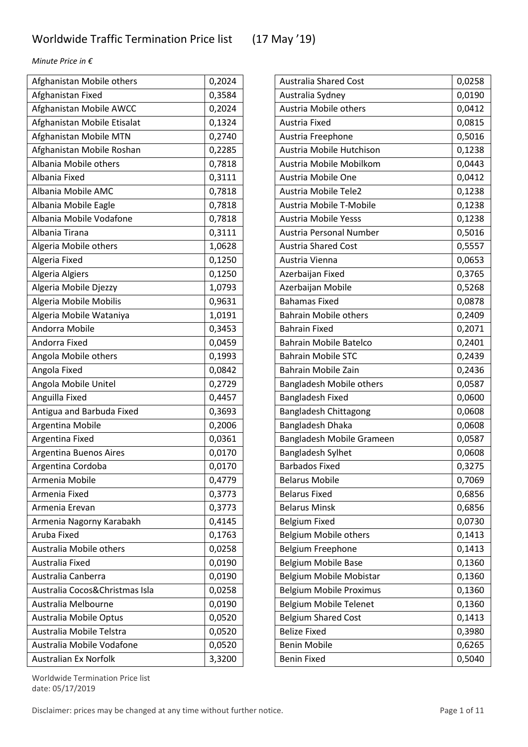| Afghanistan Mobile others      | 0,2024 |
|--------------------------------|--------|
| Afghanistan Fixed              | 0,3584 |
| Afghanistan Mobile AWCC        | 0,2024 |
| Afghanistan Mobile Etisalat    | 0,1324 |
| Afghanistan Mobile MTN         | 0,2740 |
| Afghanistan Mobile Roshan      | 0,2285 |
| Albania Mobile others          | 0,7818 |
| Albania Fixed                  | 0,3111 |
| Albania Mobile AMC             | 0,7818 |
| Albania Mobile Eagle           | 0,7818 |
| Albania Mobile Vodafone        | 0,7818 |
| Albania Tirana                 | 0,3111 |
| Algeria Mobile others          | 1,0628 |
| Algeria Fixed                  | 0,1250 |
| Algeria Algiers                | 0,1250 |
| Algeria Mobile Djezzy          | 1,0793 |
| Algeria Mobile Mobilis         | 0,9631 |
| Algeria Mobile Wataniya        | 1,0191 |
| Andorra Mobile                 | 0,3453 |
| Andorra Fixed                  | 0,0459 |
| Angola Mobile others           | 0,1993 |
| Angola Fixed                   | 0,0842 |
| Angola Mobile Unitel           | 0,2729 |
| Anguilla Fixed                 | 0,4457 |
| Antigua and Barbuda Fixed      | 0,3693 |
| Argentina Mobile               | 0,2006 |
| Argentina Fixed                | 0,0361 |
| <b>Argentina Buenos Aires</b>  | 0,0170 |
| Argentina Cordoba              | 0,0170 |
| Armenia Mobile                 | 0,4779 |
| Armenia Fixed                  | 0,3773 |
| Armenia Erevan                 | 0,3773 |
| Armenia Nagorny Karabakh       | 0,4145 |
| Aruba Fixed                    | 0,1763 |
| Australia Mobile others        | 0,0258 |
| Australia Fixed                | 0,0190 |
| Australia Canberra             | 0,0190 |
| Australia Cocos&Christmas Isla | 0,0258 |
| Australia Melbourne            | 0,0190 |
| Australia Mobile Optus         | 0,0520 |
| Australia Mobile Telstra       | 0,0520 |
| Australia Mobile Vodafone      | 0,0520 |
| <b>Australian Ex Norfolk</b>   | 3,3200 |

| <b>Australia Shared Cost</b>    | 0,0258 |
|---------------------------------|--------|
| Australia Sydney                | 0,0190 |
| Austria Mobile others           | 0,0412 |
| Austria Fixed                   | 0,0815 |
| Austria Freephone               | 0,5016 |
| Austria Mobile Hutchison        | 0,1238 |
| Austria Mobile Mobilkom         | 0,0443 |
| Austria Mobile One              | 0,0412 |
| <b>Austria Mobile Tele2</b>     | 0,1238 |
| Austria Mobile T-Mobile         | 0,1238 |
| <b>Austria Mobile Yesss</b>     | 0,1238 |
| Austria Personal Number         | 0,5016 |
| <b>Austria Shared Cost</b>      | 0,5557 |
| Austria Vienna                  | 0,0653 |
| Azerbaijan Fixed                | 0,3765 |
| Azerbaijan Mobile               | 0,5268 |
| <b>Bahamas Fixed</b>            | 0,0878 |
| <b>Bahrain Mobile others</b>    | 0,2409 |
| <b>Bahrain Fixed</b>            | 0,2071 |
| <b>Bahrain Mobile Batelco</b>   | 0,2401 |
| <b>Bahrain Mobile STC</b>       | 0,2439 |
| Bahrain Mobile Zain             | 0,2436 |
| <b>Bangladesh Mobile others</b> | 0,0587 |
| <b>Bangladesh Fixed</b>         | 0,0600 |
| Bangladesh Chittagong           | 0,0608 |
| Bangladesh Dhaka                | 0,0608 |
| Bangladesh Mobile Grameen       | 0,0587 |
| <b>Bangladesh Sylhet</b>        | 0,0608 |
| <b>Barbados Fixed</b>           | 0,3275 |
| <b>Belarus Mobile</b>           | 0,7069 |
| <b>Belarus Fixed</b>            | 0,6856 |
| <b>Belarus Minsk</b>            | 0,6856 |
| <b>Belgium Fixed</b>            | 0,0730 |
| Belgium Mobile others           | 0,1413 |
| Belgium Freephone               | 0,1413 |
| Belgium Mobile Base             | 0,1360 |
| Belgium Mobile Mobistar         | 0,1360 |
| <b>Belgium Mobile Proximus</b>  | 0,1360 |
| Belgium Mobile Telenet          | 0,1360 |
| <b>Belgium Shared Cost</b>      | 0,1413 |
| <b>Belize Fixed</b>             | 0,3980 |
| <b>Benin Mobile</b>             | 0,6265 |
| <b>Benin Fixed</b>              | 0,5040 |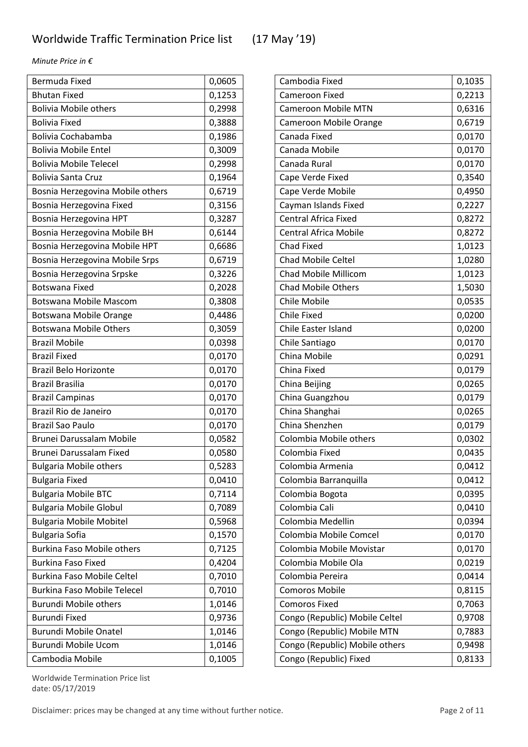| <b>Bermuda Fixed</b>               | 0,0605 |
|------------------------------------|--------|
| <b>Bhutan Fixed</b>                | 0,1253 |
| <b>Bolivia Mobile others</b>       | 0,2998 |
| <b>Bolivia Fixed</b>               | 0,3888 |
| <b>Bolivia Cochabamba</b>          | 0,1986 |
| <b>Bolivia Mobile Entel</b>        | 0,3009 |
| <b>Bolivia Mobile Telecel</b>      | 0,2998 |
| <b>Bolivia Santa Cruz</b>          | 0,1964 |
| Bosnia Herzegovina Mobile others   | 0,6719 |
| Bosnia Herzegovina Fixed           | 0,3156 |
| Bosnia Herzegovina HPT             | 0,3287 |
| Bosnia Herzegovina Mobile BH       | 0,6144 |
| Bosnia Herzegovina Mobile HPT      | 0,6686 |
| Bosnia Herzegovina Mobile Srps     | 0,6719 |
| Bosnia Herzegovina Srpske          | 0,3226 |
| <b>Botswana Fixed</b>              | 0,2028 |
| Botswana Mobile Mascom             | 0,3808 |
| <b>Botswana Mobile Orange</b>      | 0,4486 |
| <b>Botswana Mobile Others</b>      | 0,3059 |
| <b>Brazil Mobile</b>               | 0,0398 |
| <b>Brazil Fixed</b>                | 0,0170 |
| <b>Brazil Belo Horizonte</b>       | 0,0170 |
| Brazil Brasilia                    | 0,0170 |
| <b>Brazil Campinas</b>             | 0,0170 |
| Brazil Rio de Janeiro              | 0,0170 |
| <b>Brazil Sao Paulo</b>            | 0,0170 |
| Brunei Darussalam Mobile           | 0,0582 |
| Brunei Darussalam Fixed            | 0,0580 |
| <b>Bulgaria Mobile others</b>      | 0,5283 |
| <b>Bulgaria Fixed</b>              | 0,0410 |
| <b>Bulgaria Mobile BTC</b>         | 0,7114 |
| <b>Bulgaria Mobile Globul</b>      | 0,7089 |
| <b>Bulgaria Mobile Mobitel</b>     | 0,5968 |
| <b>Bulgaria Sofia</b>              | 0,1570 |
| <b>Burkina Faso Mobile others</b>  | 0,7125 |
| <b>Burkina Faso Fixed</b>          | 0,4204 |
| <b>Burkina Faso Mobile Celtel</b>  | 0,7010 |
| <b>Burkina Faso Mobile Telecel</b> | 0,7010 |
| <b>Burundi Mobile others</b>       | 1,0146 |
| Burundi Fixed                      | 0,9736 |
| <b>Burundi Mobile Onatel</b>       | 1,0146 |
| Burundi Mobile Ucom                | 1,0146 |
| Cambodia Mobile                    | 0,1005 |

| Cambodia Fixed                 | 0,1035 |
|--------------------------------|--------|
| Cameroon Fixed                 | 0,2213 |
| <b>Cameroon Mobile MTN</b>     | 0,6316 |
| Cameroon Mobile Orange         | 0,6719 |
| Canada Fixed                   | 0,0170 |
| Canada Mobile                  | 0,0170 |
| Canada Rural                   | 0,0170 |
| Cape Verde Fixed               | 0,3540 |
| Cape Verde Mobile              | 0,4950 |
| Cayman Islands Fixed           | 0,2227 |
| <b>Central Africa Fixed</b>    | 0,8272 |
| <b>Central Africa Mobile</b>   | 0,8272 |
| <b>Chad Fixed</b>              | 1,0123 |
| <b>Chad Mobile Celtel</b>      | 1,0280 |
| Chad Mobile Millicom           | 1,0123 |
| <b>Chad Mobile Others</b>      | 1,5030 |
| Chile Mobile                   | 0,0535 |
| <b>Chile Fixed</b>             | 0,0200 |
| Chile Easter Island            | 0,0200 |
| Chile Santiago                 | 0,0170 |
| China Mobile                   | 0,0291 |
| China Fixed                    | 0,0179 |
| China Beijing                  | 0,0265 |
| China Guangzhou                | 0,0179 |
| China Shanghai                 | 0,0265 |
| China Shenzhen                 | 0,0179 |
| Colombia Mobile others         | 0,0302 |
| Colombia Fixed                 | 0,0435 |
| Colombia Armenia               | 0,0412 |
| Colombia Barranquilla          | 0,0412 |
| Colombia Bogota                | 0,0395 |
| Colombia Cali                  | 0,0410 |
| Colombia Medellin              | 0,0394 |
| Colombia Mobile Comcel         | 0,0170 |
| Colombia Mobile Movistar       | 0,0170 |
| Colombia Mobile Ola            | 0,0219 |
| Colombia Pereira               | 0,0414 |
| <b>Comoros Mobile</b>          | 0,8115 |
| <b>Comoros Fixed</b>           | 0,7063 |
| Congo (Republic) Mobile Celtel | 0,9708 |
| Congo (Republic) Mobile MTN    | 0,7883 |
| Congo (Republic) Mobile others | 0,9498 |
| Congo (Republic) Fixed         | 0,8133 |

Worldwide Termination Price list date: 05/17/2019

Disclaimer: prices may be changed at any time without further notice. Page 2 of 11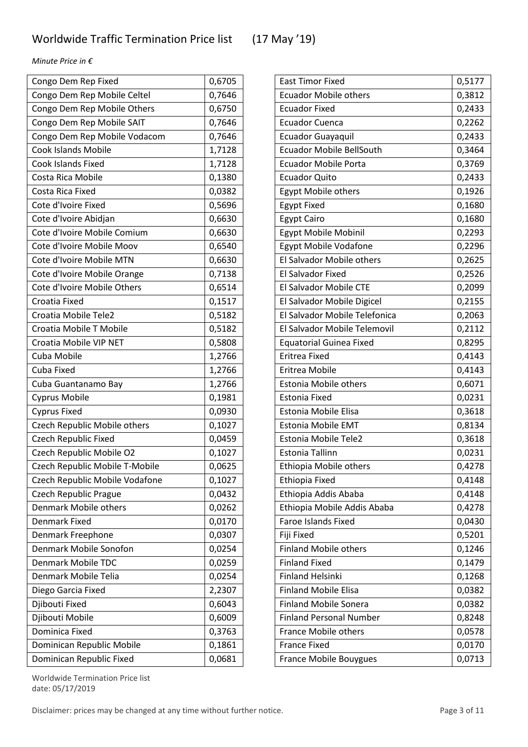| Congo Dem Rep Fixed            | 0,6705 |
|--------------------------------|--------|
| Congo Dem Rep Mobile Celtel    | 0,7646 |
| Congo Dem Rep Mobile Others    | 0,6750 |
| Congo Dem Rep Mobile SAIT      | 0,7646 |
| Congo Dem Rep Mobile Vodacom   | 0,7646 |
| <b>Cook Islands Mobile</b>     | 1,7128 |
| Cook Islands Fixed             | 1,7128 |
| Costa Rica Mobile              | 0,1380 |
| Costa Rica Fixed               | 0,0382 |
| Cote d'Ivoire Fixed            | 0,5696 |
| Cote d'Ivoire Abidjan          | 0,6630 |
| Cote d'Ivoire Mobile Comium    | 0,6630 |
| Cote d'Ivoire Mobile Moov      | 0,6540 |
| Cote d'Ivoire Mobile MTN       | 0,6630 |
| Cote d'Ivoire Mobile Orange    | 0,7138 |
| Cote d'Ivoire Mobile Others    | 0,6514 |
| Croatia Fixed                  | 0,1517 |
| Croatia Mobile Tele2           | 0,5182 |
| Croatia Mobile T Mobile        | 0,5182 |
| Croatia Mobile VIP NET         | 0,5808 |
| Cuba Mobile                    | 1,2766 |
| Cuba Fixed                     | 1,2766 |
| Cuba Guantanamo Bay            | 1,2766 |
| <b>Cyprus Mobile</b>           | 0,1981 |
| <b>Cyprus Fixed</b>            | 0,0930 |
| Czech Republic Mobile others   | 0,1027 |
| <b>Czech Republic Fixed</b>    | 0,0459 |
| Czech Republic Mobile O2       | 0,1027 |
| Czech Republic Mobile T-Mobile | 0,0625 |
| Czech Republic Mobile Vodafone | 0,1027 |
| <b>Czech Republic Prague</b>   | 0,0432 |
| Denmark Mobile others          | 0,0262 |
| Denmark Fixed                  | 0,0170 |
| Denmark Freephone              | 0,0307 |
| Denmark Mobile Sonofon         | 0,0254 |
| <b>Denmark Mobile TDC</b>      | 0,0259 |
| Denmark Mobile Telia           | 0,0254 |
| Diego Garcia Fixed             | 2,2307 |
| Djibouti Fixed                 | 0,6043 |
| Djibouti Mobile                | 0,6009 |
| Dominica Fixed                 | 0,3763 |
| Dominican Republic Mobile      | 0,1861 |
| Dominican Republic Fixed       | 0,0681 |

| <b>East Timor Fixed</b>         | 0,5177 |
|---------------------------------|--------|
| <b>Ecuador Mobile others</b>    | 0,3812 |
| <b>Ecuador Fixed</b>            | 0,2433 |
| <b>Ecuador Cuenca</b>           | 0,2262 |
| <b>Ecuador Guayaquil</b>        | 0,2433 |
| <b>Ecuador Mobile BellSouth</b> | 0,3464 |
| <b>Ecuador Mobile Porta</b>     | 0,3769 |
| <b>Ecuador Quito</b>            | 0,2433 |
| Egypt Mobile others             | 0,1926 |
| <b>Egypt Fixed</b>              | 0,1680 |
| <b>Egypt Cairo</b>              | 0,1680 |
| Egypt Mobile Mobinil            | 0,2293 |
| <b>Egypt Mobile Vodafone</b>    | 0,2296 |
| El Salvador Mobile others       | 0,2625 |
| <b>El Salvador Fixed</b>        | 0,2526 |
| El Salvador Mobile CTE          | 0,2099 |
| El Salvador Mobile Digicel      | 0,2155 |
| El Salvador Mobile Telefonica   | 0,2063 |
| El Salvador Mobile Telemovil    | 0,2112 |
| <b>Equatorial Guinea Fixed</b>  | 0,8295 |
| Eritrea Fixed                   | 0,4143 |
| Eritrea Mobile                  | 0,4143 |
| <b>Estonia Mobile others</b>    | 0,6071 |
| Estonia Fixed                   | 0,0231 |
| Estonia Mobile Elisa            | 0,3618 |
| <b>Estonia Mobile EMT</b>       | 0,8134 |
| Estonia Mobile Tele2            | 0,3618 |
| <b>Estonia Tallinn</b>          | 0,0231 |
| Ethiopia Mobile others          | 0,4278 |
| Ethiopia Fixed                  | 0,4148 |
| Ethiopia Addis Ababa            | 0,4148 |
| Ethiopia Mobile Addis Ababa     | 0,4278 |
| <b>Faroe Islands Fixed</b>      | 0,0430 |
| Fiji Fixed                      | 0,5201 |
| <b>Finland Mobile others</b>    | 0,1246 |
| <b>Finland Fixed</b>            | 0,1479 |
| <b>Finland Helsinki</b>         | 0,1268 |
| <b>Finland Mobile Elisa</b>     | 0,0382 |
| <b>Finland Mobile Sonera</b>    | 0,0382 |
| <b>Finland Personal Number</b>  | 0,8248 |
| France Mobile others            | 0,0578 |
| <b>France Fixed</b>             | 0,0170 |
| <b>France Mobile Bouygues</b>   | 0,0713 |

Worldwide Termination Price list date: 05/17/2019

Disclaimer: prices may be changed at any time without further notice. Page 3 of 11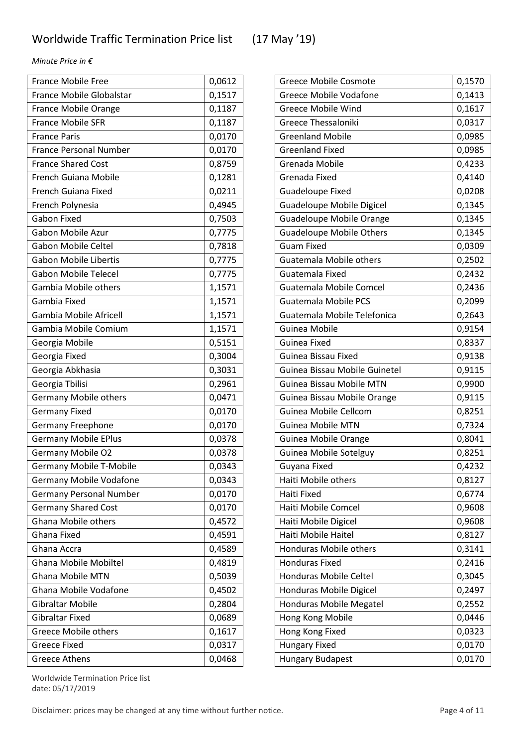ř.

*Minute Price in €*

| <b>France Mobile Free</b>      | 0,0612 |
|--------------------------------|--------|
| France Mobile Globalstar       | 0,1517 |
| France Mobile Orange           | 0,1187 |
| France Mobile SFR              | 0,1187 |
| <b>France Paris</b>            | 0,0170 |
| <b>France Personal Number</b>  | 0,0170 |
| <b>France Shared Cost</b>      | 0,8759 |
| French Guiana Mobile           | 0,1281 |
| French Guiana Fixed            | 0,0211 |
| French Polynesia               | 0,4945 |
| <b>Gabon Fixed</b>             | 0,7503 |
| Gabon Mobile Azur              | 0,7775 |
| <b>Gabon Mobile Celtel</b>     | 0,7818 |
| <b>Gabon Mobile Libertis</b>   | 0,7775 |
| <b>Gabon Mobile Telecel</b>    | 0,7775 |
| Gambia Mobile others           | 1,1571 |
| Gambia Fixed                   | 1,1571 |
| Gambia Mobile Africell         | 1,1571 |
| Gambia Mobile Comium           | 1,1571 |
| Georgia Mobile                 | 0,5151 |
| Georgia Fixed                  | 0,3004 |
| Georgia Abkhasia               | 0,3031 |
| Georgia Tbilisi                | 0,2961 |
| <b>Germany Mobile others</b>   | 0,0471 |
| <b>Germany Fixed</b>           | 0,0170 |
| <b>Germany Freephone</b>       | 0,0170 |
| <b>Germany Mobile EPlus</b>    | 0,0378 |
| Germany Mobile O2              | 0,0378 |
| <b>Germany Mobile T-Mobile</b> | 0,0343 |
| Germany Mobile Vodafone        | 0,0343 |
| <b>Germany Personal Number</b> | 0,0170 |
| <b>Germany Shared Cost</b>     | 0,0170 |
| <b>Ghana Mobile others</b>     | 0,4572 |
| <b>Ghana Fixed</b>             | 0,4591 |
| Ghana Accra                    | 0,4589 |
| <b>Ghana Mobile Mobiltel</b>   | 0,4819 |
| <b>Ghana Mobile MTN</b>        | 0,5039 |
| Ghana Mobile Vodafone          | 0,4502 |
| Gibraltar Mobile               | 0,2804 |
| <b>Gibraltar Fixed</b>         | 0,0689 |
| <b>Greece Mobile others</b>    | 0,1617 |
| <b>Greece Fixed</b>            | 0,0317 |
| Greece Athens                  | 0,0468 |

| <b>Greece Mobile Vodafone</b><br>0,1413<br>0,1617<br><b>Greece Mobile Wind</b><br>0,0317<br><b>Greece Thessaloniki</b><br><b>Greenland Mobile</b><br>0,0985<br><b>Greenland Fixed</b><br>0,0985<br>0,4233<br>Grenada Mobile<br>Grenada Fixed<br>0,4140<br><b>Guadeloupe Fixed</b><br>0,0208<br>0,1345<br><b>Guadeloupe Mobile Digicel</b><br><b>Guadeloupe Mobile Orange</b><br>0,1345<br><b>Guadeloupe Mobile Others</b><br>0,1345<br><b>Guam Fixed</b><br>0,0309<br>Guatemala Mobile others<br>0,2502<br>0,2432<br>Guatemala Fixed<br><b>Guatemala Mobile Comcel</b><br>0,2436<br><b>Guatemala Mobile PCS</b><br>0,2099<br>Guatemala Mobile Telefonica<br>0,2643<br>Guinea Mobile<br>0,9154<br>Guinea Fixed<br>0,8337<br>0,9138<br>Guinea Bissau Fixed<br>Guinea Bissau Mobile Guinetel<br>0,9115<br>0,9900<br><b>Guinea Bissau Mobile MTN</b><br>0,9115<br>Guinea Bissau Mobile Orange<br>Guinea Mobile Cellcom<br>0,8251<br>0,7324<br><b>Guinea Mobile MTN</b><br>0,8041<br>Guinea Mobile Orange<br>Guinea Mobile Sotelguy<br>0,8251<br>0,4232<br>Guyana Fixed<br>Haiti Mobile others<br>0,8127<br>0,6774<br>Haiti Fixed<br>Haiti Mobile Comcel<br>0,9608<br>Haiti Mobile Digicel<br>0,9608<br>Haiti Mobile Haitel<br>0,8127<br>0,3141<br>Honduras Mobile others<br><b>Honduras Fixed</b><br>0,2416<br>0,3045<br>Honduras Mobile Celtel<br>Honduras Mobile Digicel<br>0,2497<br>0,2552<br>Honduras Mobile Megatel<br>Hong Kong Mobile<br>0,0446<br>Hong Kong Fixed<br>0,0323<br>0,0170<br><b>Hungary Fixed</b><br>Hungary Budapest<br>0,0170 | <b>Greece Mobile Cosmote</b> | 0,1570 |
|--------------------------------------------------------------------------------------------------------------------------------------------------------------------------------------------------------------------------------------------------------------------------------------------------------------------------------------------------------------------------------------------------------------------------------------------------------------------------------------------------------------------------------------------------------------------------------------------------------------------------------------------------------------------------------------------------------------------------------------------------------------------------------------------------------------------------------------------------------------------------------------------------------------------------------------------------------------------------------------------------------------------------------------------------------------------------------------------------------------------------------------------------------------------------------------------------------------------------------------------------------------------------------------------------------------------------------------------------------------------------------------------------------------------------------------------------------------------------------------------------------------------------------------------------|------------------------------|--------|
|                                                                                                                                                                                                                                                                                                                                                                                                                                                                                                                                                                                                                                                                                                                                                                                                                                                                                                                                                                                                                                                                                                                                                                                                                                                                                                                                                                                                                                                                                                                                                  |                              |        |
|                                                                                                                                                                                                                                                                                                                                                                                                                                                                                                                                                                                                                                                                                                                                                                                                                                                                                                                                                                                                                                                                                                                                                                                                                                                                                                                                                                                                                                                                                                                                                  |                              |        |
|                                                                                                                                                                                                                                                                                                                                                                                                                                                                                                                                                                                                                                                                                                                                                                                                                                                                                                                                                                                                                                                                                                                                                                                                                                                                                                                                                                                                                                                                                                                                                  |                              |        |
|                                                                                                                                                                                                                                                                                                                                                                                                                                                                                                                                                                                                                                                                                                                                                                                                                                                                                                                                                                                                                                                                                                                                                                                                                                                                                                                                                                                                                                                                                                                                                  |                              |        |
|                                                                                                                                                                                                                                                                                                                                                                                                                                                                                                                                                                                                                                                                                                                                                                                                                                                                                                                                                                                                                                                                                                                                                                                                                                                                                                                                                                                                                                                                                                                                                  |                              |        |
|                                                                                                                                                                                                                                                                                                                                                                                                                                                                                                                                                                                                                                                                                                                                                                                                                                                                                                                                                                                                                                                                                                                                                                                                                                                                                                                                                                                                                                                                                                                                                  |                              |        |
|                                                                                                                                                                                                                                                                                                                                                                                                                                                                                                                                                                                                                                                                                                                                                                                                                                                                                                                                                                                                                                                                                                                                                                                                                                                                                                                                                                                                                                                                                                                                                  |                              |        |
|                                                                                                                                                                                                                                                                                                                                                                                                                                                                                                                                                                                                                                                                                                                                                                                                                                                                                                                                                                                                                                                                                                                                                                                                                                                                                                                                                                                                                                                                                                                                                  |                              |        |
|                                                                                                                                                                                                                                                                                                                                                                                                                                                                                                                                                                                                                                                                                                                                                                                                                                                                                                                                                                                                                                                                                                                                                                                                                                                                                                                                                                                                                                                                                                                                                  |                              |        |
|                                                                                                                                                                                                                                                                                                                                                                                                                                                                                                                                                                                                                                                                                                                                                                                                                                                                                                                                                                                                                                                                                                                                                                                                                                                                                                                                                                                                                                                                                                                                                  |                              |        |
|                                                                                                                                                                                                                                                                                                                                                                                                                                                                                                                                                                                                                                                                                                                                                                                                                                                                                                                                                                                                                                                                                                                                                                                                                                                                                                                                                                                                                                                                                                                                                  |                              |        |
|                                                                                                                                                                                                                                                                                                                                                                                                                                                                                                                                                                                                                                                                                                                                                                                                                                                                                                                                                                                                                                                                                                                                                                                                                                                                                                                                                                                                                                                                                                                                                  |                              |        |
|                                                                                                                                                                                                                                                                                                                                                                                                                                                                                                                                                                                                                                                                                                                                                                                                                                                                                                                                                                                                                                                                                                                                                                                                                                                                                                                                                                                                                                                                                                                                                  |                              |        |
|                                                                                                                                                                                                                                                                                                                                                                                                                                                                                                                                                                                                                                                                                                                                                                                                                                                                                                                                                                                                                                                                                                                                                                                                                                                                                                                                                                                                                                                                                                                                                  |                              |        |
|                                                                                                                                                                                                                                                                                                                                                                                                                                                                                                                                                                                                                                                                                                                                                                                                                                                                                                                                                                                                                                                                                                                                                                                                                                                                                                                                                                                                                                                                                                                                                  |                              |        |
|                                                                                                                                                                                                                                                                                                                                                                                                                                                                                                                                                                                                                                                                                                                                                                                                                                                                                                                                                                                                                                                                                                                                                                                                                                                                                                                                                                                                                                                                                                                                                  |                              |        |
|                                                                                                                                                                                                                                                                                                                                                                                                                                                                                                                                                                                                                                                                                                                                                                                                                                                                                                                                                                                                                                                                                                                                                                                                                                                                                                                                                                                                                                                                                                                                                  |                              |        |
|                                                                                                                                                                                                                                                                                                                                                                                                                                                                                                                                                                                                                                                                                                                                                                                                                                                                                                                                                                                                                                                                                                                                                                                                                                                                                                                                                                                                                                                                                                                                                  |                              |        |
|                                                                                                                                                                                                                                                                                                                                                                                                                                                                                                                                                                                                                                                                                                                                                                                                                                                                                                                                                                                                                                                                                                                                                                                                                                                                                                                                                                                                                                                                                                                                                  |                              |        |
|                                                                                                                                                                                                                                                                                                                                                                                                                                                                                                                                                                                                                                                                                                                                                                                                                                                                                                                                                                                                                                                                                                                                                                                                                                                                                                                                                                                                                                                                                                                                                  |                              |        |
|                                                                                                                                                                                                                                                                                                                                                                                                                                                                                                                                                                                                                                                                                                                                                                                                                                                                                                                                                                                                                                                                                                                                                                                                                                                                                                                                                                                                                                                                                                                                                  |                              |        |
|                                                                                                                                                                                                                                                                                                                                                                                                                                                                                                                                                                                                                                                                                                                                                                                                                                                                                                                                                                                                                                                                                                                                                                                                                                                                                                                                                                                                                                                                                                                                                  |                              |        |
|                                                                                                                                                                                                                                                                                                                                                                                                                                                                                                                                                                                                                                                                                                                                                                                                                                                                                                                                                                                                                                                                                                                                                                                                                                                                                                                                                                                                                                                                                                                                                  |                              |        |
|                                                                                                                                                                                                                                                                                                                                                                                                                                                                                                                                                                                                                                                                                                                                                                                                                                                                                                                                                                                                                                                                                                                                                                                                                                                                                                                                                                                                                                                                                                                                                  |                              |        |
|                                                                                                                                                                                                                                                                                                                                                                                                                                                                                                                                                                                                                                                                                                                                                                                                                                                                                                                                                                                                                                                                                                                                                                                                                                                                                                                                                                                                                                                                                                                                                  |                              |        |
|                                                                                                                                                                                                                                                                                                                                                                                                                                                                                                                                                                                                                                                                                                                                                                                                                                                                                                                                                                                                                                                                                                                                                                                                                                                                                                                                                                                                                                                                                                                                                  |                              |        |
|                                                                                                                                                                                                                                                                                                                                                                                                                                                                                                                                                                                                                                                                                                                                                                                                                                                                                                                                                                                                                                                                                                                                                                                                                                                                                                                                                                                                                                                                                                                                                  |                              |        |
|                                                                                                                                                                                                                                                                                                                                                                                                                                                                                                                                                                                                                                                                                                                                                                                                                                                                                                                                                                                                                                                                                                                                                                                                                                                                                                                                                                                                                                                                                                                                                  |                              |        |
|                                                                                                                                                                                                                                                                                                                                                                                                                                                                                                                                                                                                                                                                                                                                                                                                                                                                                                                                                                                                                                                                                                                                                                                                                                                                                                                                                                                                                                                                                                                                                  |                              |        |
|                                                                                                                                                                                                                                                                                                                                                                                                                                                                                                                                                                                                                                                                                                                                                                                                                                                                                                                                                                                                                                                                                                                                                                                                                                                                                                                                                                                                                                                                                                                                                  |                              |        |
|                                                                                                                                                                                                                                                                                                                                                                                                                                                                                                                                                                                                                                                                                                                                                                                                                                                                                                                                                                                                                                                                                                                                                                                                                                                                                                                                                                                                                                                                                                                                                  |                              |        |
|                                                                                                                                                                                                                                                                                                                                                                                                                                                                                                                                                                                                                                                                                                                                                                                                                                                                                                                                                                                                                                                                                                                                                                                                                                                                                                                                                                                                                                                                                                                                                  |                              |        |
|                                                                                                                                                                                                                                                                                                                                                                                                                                                                                                                                                                                                                                                                                                                                                                                                                                                                                                                                                                                                                                                                                                                                                                                                                                                                                                                                                                                                                                                                                                                                                  |                              |        |
|                                                                                                                                                                                                                                                                                                                                                                                                                                                                                                                                                                                                                                                                                                                                                                                                                                                                                                                                                                                                                                                                                                                                                                                                                                                                                                                                                                                                                                                                                                                                                  |                              |        |
|                                                                                                                                                                                                                                                                                                                                                                                                                                                                                                                                                                                                                                                                                                                                                                                                                                                                                                                                                                                                                                                                                                                                                                                                                                                                                                                                                                                                                                                                                                                                                  |                              |        |
|                                                                                                                                                                                                                                                                                                                                                                                                                                                                                                                                                                                                                                                                                                                                                                                                                                                                                                                                                                                                                                                                                                                                                                                                                                                                                                                                                                                                                                                                                                                                                  |                              |        |
|                                                                                                                                                                                                                                                                                                                                                                                                                                                                                                                                                                                                                                                                                                                                                                                                                                                                                                                                                                                                                                                                                                                                                                                                                                                                                                                                                                                                                                                                                                                                                  |                              |        |
|                                                                                                                                                                                                                                                                                                                                                                                                                                                                                                                                                                                                                                                                                                                                                                                                                                                                                                                                                                                                                                                                                                                                                                                                                                                                                                                                                                                                                                                                                                                                                  |                              |        |
|                                                                                                                                                                                                                                                                                                                                                                                                                                                                                                                                                                                                                                                                                                                                                                                                                                                                                                                                                                                                                                                                                                                                                                                                                                                                                                                                                                                                                                                                                                                                                  |                              |        |
|                                                                                                                                                                                                                                                                                                                                                                                                                                                                                                                                                                                                                                                                                                                                                                                                                                                                                                                                                                                                                                                                                                                                                                                                                                                                                                                                                                                                                                                                                                                                                  |                              |        |
|                                                                                                                                                                                                                                                                                                                                                                                                                                                                                                                                                                                                                                                                                                                                                                                                                                                                                                                                                                                                                                                                                                                                                                                                                                                                                                                                                                                                                                                                                                                                                  |                              |        |
|                                                                                                                                                                                                                                                                                                                                                                                                                                                                                                                                                                                                                                                                                                                                                                                                                                                                                                                                                                                                                                                                                                                                                                                                                                                                                                                                                                                                                                                                                                                                                  |                              |        |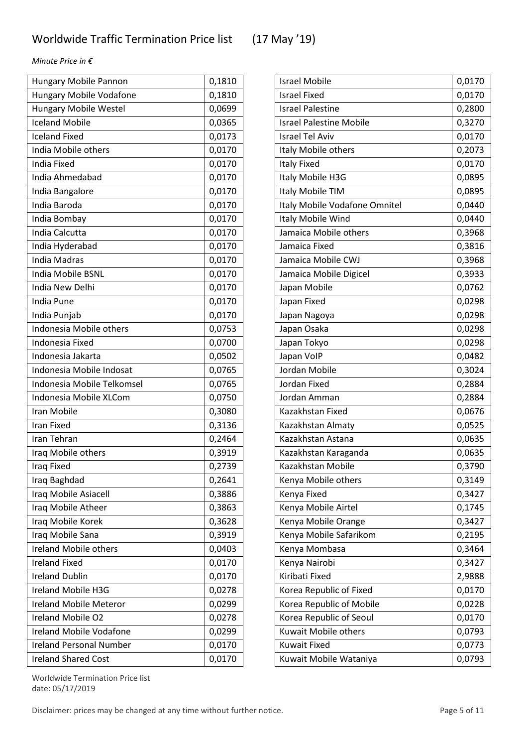| Hungary Mobile Pannon          | 0,1810 |
|--------------------------------|--------|
| <b>Hungary Mobile Vodafone</b> | 0,1810 |
| <b>Hungary Mobile Westel</b>   | 0,0699 |
| <b>Iceland Mobile</b>          | 0,0365 |
| <b>Iceland Fixed</b>           | 0,0173 |
| India Mobile others            | 0,0170 |
| <b>India Fixed</b>             | 0,0170 |
| India Ahmedabad                | 0,0170 |
| India Bangalore                | 0,0170 |
| India Baroda                   | 0,0170 |
| India Bombay                   | 0,0170 |
| India Calcutta                 | 0,0170 |
| India Hyderabad                | 0,0170 |
| India Madras                   | 0,0170 |
| India Mobile BSNL              | 0,0170 |
| India New Delhi                | 0,0170 |
| India Pune                     | 0,0170 |
| India Punjab                   | 0,0170 |
| Indonesia Mobile others        | 0,0753 |
| Indonesia Fixed                | 0,0700 |
| Indonesia Jakarta              | 0,0502 |
| Indonesia Mobile Indosat       | 0,0765 |
| Indonesia Mobile Telkomsel     | 0,0765 |
| Indonesia Mobile XLCom         | 0,0750 |
| Iran Mobile                    | 0,3080 |
| <b>Iran Fixed</b>              | 0,3136 |
| Iran Tehran                    | 0,2464 |
| Iraq Mobile others             | 0,3919 |
| Iraq Fixed                     | 0,2739 |
| Iraq Baghdad                   | 0,2641 |
| Iraq Mobile Asiacell           | 0,3886 |
| Iraq Mobile Atheer             | 0,3863 |
| Iraq Mobile Korek              | 0,3628 |
| Iraq Mobile Sana               | 0,3919 |
| Ireland Mobile others          | 0,0403 |
| <b>Ireland Fixed</b>           | 0,0170 |
| <b>Ireland Dublin</b>          | 0,0170 |
| <b>Ireland Mobile H3G</b>      | 0,0278 |
| <b>Ireland Mobile Meteror</b>  | 0,0299 |
| Ireland Mobile O2              | 0,0278 |
| <b>Ireland Mobile Vodafone</b> | 0,0299 |
| <b>Ireland Personal Number</b> | 0,0170 |
| <b>Ireland Shared Cost</b>     | 0,0170 |

| <b>Israel Mobile</b>           | 0,0170 |
|--------------------------------|--------|
| <b>Israel Fixed</b>            | 0,0170 |
| <b>Israel Palestine</b>        | 0,2800 |
| <b>Israel Palestine Mobile</b> | 0,3270 |
| <b>Israel Tel Aviv</b>         | 0,0170 |
| Italy Mobile others            | 0,2073 |
| <b>Italy Fixed</b>             | 0,0170 |
| Italy Mobile H3G               | 0,0895 |
| Italy Mobile TIM               | 0,0895 |
| Italy Mobile Vodafone Omnitel  | 0,0440 |
| Italy Mobile Wind              | 0,0440 |
| Jamaica Mobile others          | 0,3968 |
| Jamaica Fixed                  | 0,3816 |
| Jamaica Mobile CWJ             | 0,3968 |
| Jamaica Mobile Digicel         | 0,3933 |
| Japan Mobile                   | 0,0762 |
| Japan Fixed                    | 0,0298 |
| Japan Nagoya                   | 0,0298 |
| Japan Osaka                    | 0,0298 |
| Japan Tokyo                    | 0,0298 |
| Japan VolP                     | 0,0482 |
| Jordan Mobile                  | 0,3024 |
| Jordan Fixed                   | 0,2884 |
| Jordan Amman                   | 0,2884 |
| Kazakhstan Fixed               | 0,0676 |
| Kazakhstan Almaty              | 0,0525 |
| Kazakhstan Astana              | 0,0635 |
| Kazakhstan Karaganda           | 0,0635 |
| Kazakhstan Mobile              | 0,3790 |
| Kenya Mobile others            | 0,3149 |
| Kenya Fixed                    | 0,3427 |
| Kenya Mobile Airtel            | 0,1745 |
| Kenya Mobile Orange            | 0,3427 |
| Kenya Mobile Safarikom         | 0,2195 |
| Kenya Mombasa                  | 0,3464 |
| Kenya Nairobi                  | 0,3427 |
| Kiribati Fixed                 | 2,9888 |
| Korea Republic of Fixed        | 0,0170 |
| Korea Republic of Mobile       | 0,0228 |
| Korea Republic of Seoul        | 0,0170 |
| Kuwait Mobile others           | 0,0793 |
| <b>Kuwait Fixed</b>            | 0,0773 |
| Kuwait Mobile Wataniya         | 0,0793 |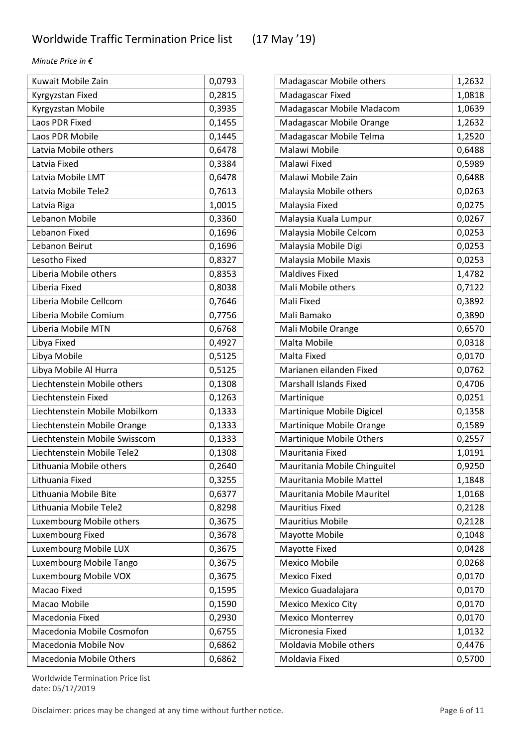| Kuwait Mobile Zain            | 0,0793 |
|-------------------------------|--------|
| Kyrgyzstan Fixed              | 0,2815 |
| Kyrgyzstan Mobile             | 0,3935 |
| Laos PDR Fixed                | 0,1455 |
| Laos PDR Mobile               | 0,1445 |
| Latvia Mobile others          | 0,6478 |
| Latvia Fixed                  | 0,3384 |
| Latvia Mobile LMT             | 0,6478 |
| Latvia Mobile Tele2           | 0,7613 |
| Latvia Riga                   | 1,0015 |
| Lebanon Mobile                | 0,3360 |
| Lebanon Fixed                 | 0,1696 |
| Lebanon Beirut                | 0,1696 |
| Lesotho Fixed                 | 0,8327 |
| Liberia Mobile others         | 0,8353 |
| Liberia Fixed                 | 0,8038 |
| Liberia Mobile Cellcom        | 0,7646 |
| Liberia Mobile Comium         | 0,7756 |
| Liberia Mobile MTN            | 0,6768 |
| Libya Fixed                   | 0,4927 |
| Libya Mobile                  | 0,5125 |
| Libya Mobile Al Hurra         | 0,5125 |
| Liechtenstein Mobile others   | 0,1308 |
| Liechtenstein Fixed           | 0,1263 |
| Liechtenstein Mobile Mobilkom | 0,1333 |
| Liechtenstein Mobile Orange   | 0,1333 |
| Liechtenstein Mobile Swisscom | 0,1333 |
| Liechtenstein Mobile Tele2    | 0,1308 |
| Lithuania Mobile others       | 0,2640 |
| Lithuania Fixed               | 0,3255 |
| Lithuania Mobile Bite         | 0,6377 |
| Lithuania Mobile Tele2        | 0,8298 |
| Luxembourg Mobile others      | 0,3675 |
| Luxembourg Fixed              | 0,3678 |
| Luxembourg Mobile LUX         | 0,3675 |
| Luxembourg Mobile Tango       | 0,3675 |
| Luxembourg Mobile VOX         | 0,3675 |
| Macao Fixed                   | 0,1595 |
| Macao Mobile                  | 0,1590 |
| Macedonia Fixed               | 0,2930 |
| Macedonia Mobile Cosmofon     | 0,6755 |
| Macedonia Mobile Nov          | 0,6862 |
| Macedonia Mobile Others       | 0,6862 |

| Madagascar Mobile others      | 1,2632 |
|-------------------------------|--------|
| Madagascar Fixed              | 1,0818 |
| Madagascar Mobile Madacom     | 1,0639 |
| Madagascar Mobile Orange      | 1,2632 |
| Madagascar Mobile Telma       | 1,2520 |
| Malawi Mobile                 | 0,6488 |
| Malawi Fixed                  | 0,5989 |
| Malawi Mobile Zain            | 0,6488 |
| Malaysia Mobile others        | 0,0263 |
| Malaysia Fixed                | 0,0275 |
| Malaysia Kuala Lumpur         | 0,0267 |
| Malaysia Mobile Celcom        | 0,0253 |
| Malaysia Mobile Digi          | 0,0253 |
| Malaysia Mobile Maxis         | 0,0253 |
| <b>Maldives Fixed</b>         | 1,4782 |
| Mali Mobile others            | 0,7122 |
| Mali Fixed                    | 0,3892 |
| Mali Bamako                   | 0,3890 |
| Mali Mobile Orange            | 0,6570 |
| Malta Mobile                  | 0,0318 |
| Malta Fixed                   | 0,0170 |
| Marianen eilanden Fixed       | 0,0762 |
| <b>Marshall Islands Fixed</b> | 0,4706 |
| Martinique                    | 0,0251 |
| Martinique Mobile Digicel     | 0,1358 |
| Martinique Mobile Orange      | 0,1589 |
| Martinique Mobile Others      | 0,2557 |
| Mauritania Fixed              | 1,0191 |
| Mauritania Mobile Chinguitel  | 0,9250 |
| Mauritania Mobile Mattel      | 1,1848 |
| Mauritania Mobile Mauritel    | 1,0168 |
| <b>Mauritius Fixed</b>        | 0,2128 |
| <b>Mauritius Mobile</b>       | 0,2128 |
| Mayotte Mobile                | 0,1048 |
| Mayotte Fixed                 | 0,0428 |
| <b>Mexico Mobile</b>          | 0,0268 |
| <b>Mexico Fixed</b>           | 0,0170 |
| Mexico Guadalajara            | 0,0170 |
| <b>Mexico Mexico City</b>     | 0,0170 |
| <b>Mexico Monterrey</b>       | 0,0170 |
| Micronesia Fixed              | 1,0132 |
| Moldavia Mobile others        | 0,4476 |
| Moldavia Fixed                | 0,5700 |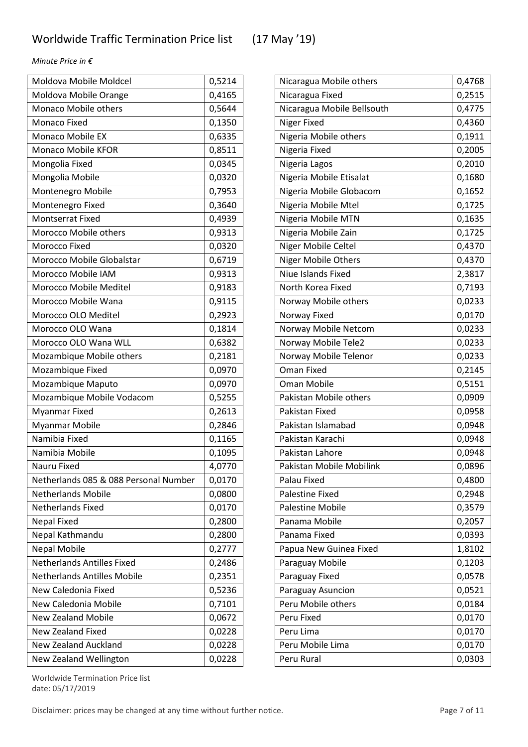| Moldova Mobile Moldcel                | 0,5214 |
|---------------------------------------|--------|
| Moldova Mobile Orange                 | 0,4165 |
| Monaco Mobile others                  | 0,5644 |
| Monaco Fixed                          | 0,1350 |
| <b>Monaco Mobile EX</b>               | 0,6335 |
| <b>Monaco Mobile KFOR</b>             | 0,8511 |
| Mongolia Fixed                        | 0,0345 |
| Mongolia Mobile                       | 0,0320 |
| Montenegro Mobile                     | 0,7953 |
| Montenegro Fixed                      | 0,3640 |
| <b>Montserrat Fixed</b>               | 0,4939 |
| Morocco Mobile others                 | 0,9313 |
| Morocco Fixed                         | 0,0320 |
| Morocco Mobile Globalstar             | 0,6719 |
| Morocco Mobile IAM                    | 0,9313 |
| Morocco Mobile Meditel                | 0,9183 |
| Morocco Mobile Wana                   | 0,9115 |
| Morocco OLO Meditel                   | 0,2923 |
| Morocco OLO Wana                      | 0,1814 |
| Morocco OLO Wana WLL                  | 0,6382 |
| Mozambique Mobile others              | 0,2181 |
| Mozambique Fixed                      | 0,0970 |
| Mozambique Maputo                     | 0,0970 |
| Mozambique Mobile Vodacom             | 0,5255 |
| Myanmar Fixed                         | 0,2613 |
| <b>Myanmar Mobile</b>                 | 0,2846 |
| Namibia Fixed                         | 0,1165 |
| Namibia Mobile                        | 0,1095 |
| Nauru Fixed                           | 4,0770 |
| Netherlands 085 & 088 Personal Number | 0,0170 |
| <b>Netherlands Mobile</b>             | 0,0800 |
| <b>Netherlands Fixed</b>              | 0,0170 |
| <b>Nepal Fixed</b>                    | 0,2800 |
| Nepal Kathmandu                       | 0,2800 |
| <b>Nepal Mobile</b>                   | 0,2777 |
| <b>Netherlands Antilles Fixed</b>     | 0,2486 |
| <b>Netherlands Antilles Mobile</b>    | 0,2351 |
| New Caledonia Fixed                   | 0,5236 |
| New Caledonia Mobile                  | 0,7101 |
| <b>New Zealand Mobile</b>             | 0,0672 |
| New Zealand Fixed                     | 0,0228 |
| <b>New Zealand Auckland</b>           | 0,0228 |
| New Zealand Wellington                | 0,0228 |

| Nicaragua Mobile others    | 0,4768 |
|----------------------------|--------|
| Nicaragua Fixed            | 0,2515 |
| Nicaragua Mobile Bellsouth | 0,4775 |
| Niger Fixed                | 0,4360 |
| Nigeria Mobile others      | 0,1911 |
| Nigeria Fixed              | 0,2005 |
| Nigeria Lagos              | 0,2010 |
| Nigeria Mobile Etisalat    | 0,1680 |
| Nigeria Mobile Globacom    | 0,1652 |
| Nigeria Mobile Mtel        | 0,1725 |
| Nigeria Mobile MTN         | 0,1635 |
| Nigeria Mobile Zain        | 0,1725 |
| Niger Mobile Celtel        | 0,4370 |
| <b>Niger Mobile Others</b> | 0,4370 |
| Niue Islands Fixed         | 2,3817 |
| North Korea Fixed          | 0,7193 |
| Norway Mobile others       | 0,0233 |
| Norway Fixed               | 0,0170 |
| Norway Mobile Netcom       | 0,0233 |
| Norway Mobile Tele2        | 0,0233 |
| Norway Mobile Telenor      | 0,0233 |
| <b>Oman Fixed</b>          | 0,2145 |
| <b>Oman Mobile</b>         | 0,5151 |
| Pakistan Mobile others     | 0,0909 |
| Pakistan Fixed             | 0,0958 |
| Pakistan Islamabad         | 0,0948 |
| Pakistan Karachi           | 0,0948 |
| Pakistan Lahore            | 0,0948 |
| Pakistan Mobile Mobilink   | 0,0896 |
| Palau Fixed                | 0,4800 |
| Palestine Fixed            | 0,2948 |
| <b>Palestine Mobile</b>    | 0,3579 |
| Panama Mobile              | 0,2057 |
| Panama Fixed               | 0,0393 |
| Papua New Guinea Fixed     | 1,8102 |
| Paraguay Mobile            | 0,1203 |
| Paraguay Fixed             | 0,0578 |
| Paraguay Asuncion          | 0,0521 |
| Peru Mobile others         | 0,0184 |
| Peru Fixed                 | 0,0170 |
| Peru Lima                  | 0,0170 |
| Peru Mobile Lima           | 0,0170 |
| Peru Rural                 | 0,0303 |

Worldwide Termination Price list date: 05/17/2019

Disclaimer: prices may be changed at any time without further notice. Page 7 of 11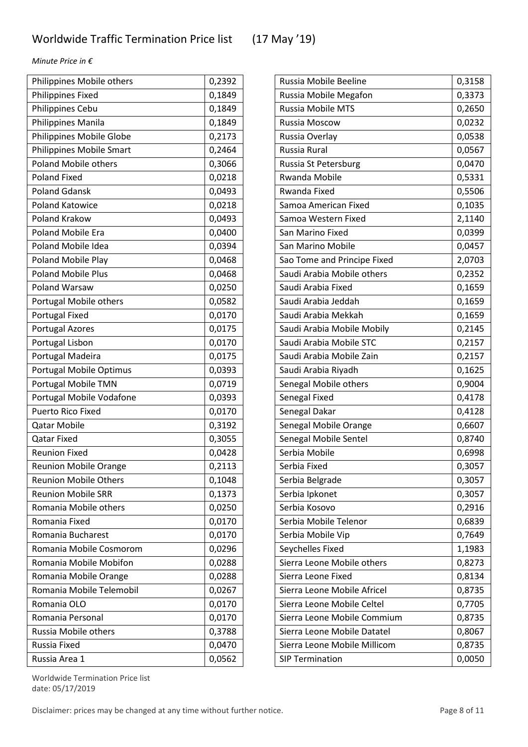| Philippines Mobile others    | 0,2392 |
|------------------------------|--------|
| Philippines Fixed            | 0,1849 |
| Philippines Cebu             | 0,1849 |
| Philippines Manila           | 0,1849 |
| Philippines Mobile Globe     | 0,2173 |
| Philippines Mobile Smart     | 0,2464 |
| <b>Poland Mobile others</b>  | 0,3066 |
| <b>Poland Fixed</b>          | 0,0218 |
| <b>Poland Gdansk</b>         | 0,0493 |
| <b>Poland Katowice</b>       | 0,0218 |
| <b>Poland Krakow</b>         | 0,0493 |
| <b>Poland Mobile Era</b>     | 0,0400 |
| Poland Mobile Idea           | 0,0394 |
| Poland Mobile Play           | 0,0468 |
| <b>Poland Mobile Plus</b>    | 0,0468 |
| Poland Warsaw                | 0,0250 |
| Portugal Mobile others       | 0,0582 |
| Portugal Fixed               | 0,0170 |
| <b>Portugal Azores</b>       | 0,0175 |
| Portugal Lisbon              | 0,0170 |
| Portugal Madeira             | 0,0175 |
| Portugal Mobile Optimus      | 0,0393 |
| Portugal Mobile TMN          | 0,0719 |
| Portugal Mobile Vodafone     | 0,0393 |
| Puerto Rico Fixed            | 0,0170 |
| <b>Qatar Mobile</b>          | 0,3192 |
| <b>Qatar Fixed</b>           | 0,3055 |
| <b>Reunion Fixed</b>         | 0,0428 |
| <b>Reunion Mobile Orange</b> | 0,2113 |
| <b>Reunion Mobile Others</b> | 0,1048 |
| <b>Reunion Mobile SRR</b>    | 0,1373 |
| Romania Mobile others        | 0,0250 |
| Romania Fixed                | 0,0170 |
| Romania Bucharest            | 0,0170 |
| Romania Mobile Cosmorom      | 0,0296 |
| Romania Mobile Mobifon       | 0,0288 |
| Romania Mobile Orange        | 0,0288 |
| Romania Mobile Telemobil     | 0,0267 |
| Romania OLO                  | 0,0170 |
| Romania Personal             | 0,0170 |
| Russia Mobile others         | 0,3788 |
| Russia Fixed                 | 0,0470 |
| Russia Area 1                | 0,0562 |

| Russia Mobile Beeline        | 0,3158 |
|------------------------------|--------|
| Russia Mobile Megafon        | 0,3373 |
| <b>Russia Mobile MTS</b>     | 0,2650 |
| Russia Moscow                | 0,0232 |
| Russia Overlay               | 0,0538 |
| Russia Rural                 | 0,0567 |
| Russia St Petersburg         | 0,0470 |
| <b>Rwanda Mobile</b>         | 0,5331 |
| Rwanda Fixed                 | 0,5506 |
| Samoa American Fixed         | 0,1035 |
| Samoa Western Fixed          | 2,1140 |
| San Marino Fixed             | 0,0399 |
| San Marino Mobile            | 0,0457 |
| Sao Tome and Principe Fixed  | 2,0703 |
| Saudi Arabia Mobile others   | 0,2352 |
| Saudi Arabia Fixed           | 0,1659 |
| Saudi Arabia Jeddah          | 0,1659 |
| Saudi Arabia Mekkah          | 0,1659 |
| Saudi Arabia Mobile Mobily   | 0,2145 |
| Saudi Arabia Mobile STC      | 0,2157 |
| Saudi Arabia Mobile Zain     | 0,2157 |
| Saudi Arabia Riyadh          | 0,1625 |
| Senegal Mobile others        | 0,9004 |
| Senegal Fixed                | 0,4178 |
| Senegal Dakar                | 0,4128 |
| Senegal Mobile Orange        | 0,6607 |
| Senegal Mobile Sentel        | 0,8740 |
| Serbia Mobile                | 0,6998 |
| Serbia Fixed                 | 0,3057 |
| Serbia Belgrade              | 0,3057 |
| Serbia Ipkonet               | 0,3057 |
| Serbia Kosovo                | 0,2916 |
| Serbia Mobile Telenor        | 0,6839 |
| Serbia Mobile Vip            | 0,7649 |
| Seychelles Fixed             | 1,1983 |
| Sierra Leone Mobile others   | 0,8273 |
| Sierra Leone Fixed           | 0,8134 |
| Sierra Leone Mobile Africel  | 0,8735 |
| Sierra Leone Mobile Celtel   | 0,7705 |
| Sierra Leone Mobile Commium  | 0,8735 |
| Sierra Leone Mobile Datatel  | 0,8067 |
| Sierra Leone Mobile Millicom | 0,8735 |
| <b>SIP Termination</b>       | 0,0050 |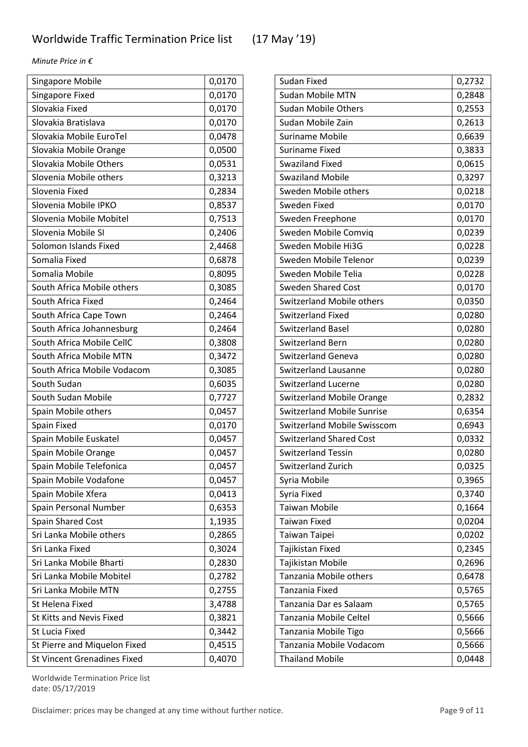| <b>Singapore Mobile</b>            | 0,0170 |
|------------------------------------|--------|
| Singapore Fixed                    | 0,0170 |
| Slovakia Fixed                     | 0,0170 |
| Slovakia Bratislava                | 0,0170 |
| Slovakia Mobile EuroTel            | 0,0478 |
| Slovakia Mobile Orange             | 0,0500 |
| Slovakia Mobile Others             | 0,0531 |
| Slovenia Mobile others             | 0,3213 |
| Slovenia Fixed                     | 0,2834 |
| Slovenia Mobile IPKO               | 0,8537 |
| Slovenia Mobile Mobitel            | 0,7513 |
| Slovenia Mobile SI                 | 0,2406 |
| Solomon Islands Fixed              | 2,4468 |
| Somalia Fixed                      | 0,6878 |
| Somalia Mobile                     | 0,8095 |
| South Africa Mobile others         | 0,3085 |
| South Africa Fixed                 | 0,2464 |
| South Africa Cape Town             | 0,2464 |
| South Africa Johannesburg          | 0,2464 |
| South Africa Mobile CellC          | 0,3808 |
| South Africa Mobile MTN            | 0,3472 |
| South Africa Mobile Vodacom        | 0,3085 |
| South Sudan                        | 0,6035 |
| South Sudan Mobile                 | 0,7727 |
| Spain Mobile others                | 0,0457 |
| Spain Fixed                        | 0,0170 |
| Spain Mobile Euskatel              | 0,0457 |
| Spain Mobile Orange                | 0,0457 |
| Spain Mobile Telefonica            | 0,0457 |
| Spain Mobile Vodafone              | 0,0457 |
| Spain Mobile Xfera                 | 0,0413 |
| Spain Personal Number              | 0,6353 |
| Spain Shared Cost                  | 1,1935 |
| Sri Lanka Mobile others            | 0,2865 |
| Sri Lanka Fixed                    | 0,3024 |
| Sri Lanka Mobile Bharti            | 0,2830 |
| Sri Lanka Mobile Mobitel           | 0,2782 |
| Sri Lanka Mobile MTN               | 0,2755 |
| St Helena Fixed                    | 3,4788 |
| St Kitts and Nevis Fixed           | 0,3821 |
| <b>St Lucia Fixed</b>              | 0,3442 |
| St Pierre and Miquelon Fixed       | 0,4515 |
| <b>St Vincent Grenadines Fixed</b> | 0,4070 |

| <b>Sudan Fixed</b>                 | 0,2732 |
|------------------------------------|--------|
| <b>Sudan Mobile MTN</b>            | 0,2848 |
| <b>Sudan Mobile Others</b>         | 0,2553 |
| Sudan Mobile Zain                  | 0,2613 |
| <b>Suriname Mobile</b>             | 0,6639 |
| Suriname Fixed                     | 0,3833 |
| <b>Swaziland Fixed</b>             | 0,0615 |
| <b>Swaziland Mobile</b>            | 0,3297 |
| Sweden Mobile others               | 0,0218 |
| Sweden Fixed                       | 0,0170 |
| Sweden Freephone                   | 0,0170 |
| Sweden Mobile Comviq               | 0,0239 |
| Sweden Mobile Hi3G                 | 0,0228 |
| Sweden Mobile Telenor              | 0,0239 |
| Sweden Mobile Telia                | 0,0228 |
| <b>Sweden Shared Cost</b>          | 0,0170 |
| <b>Switzerland Mobile others</b>   | 0,0350 |
| <b>Switzerland Fixed</b>           | 0,0280 |
| <b>Switzerland Basel</b>           | 0,0280 |
| Switzerland Bern                   | 0,0280 |
| <b>Switzerland Geneva</b>          | 0,0280 |
| <b>Switzerland Lausanne</b>        | 0,0280 |
| <b>Switzerland Lucerne</b>         | 0,0280 |
| <b>Switzerland Mobile Orange</b>   | 0,2832 |
| <b>Switzerland Mobile Sunrise</b>  | 0,6354 |
| <b>Switzerland Mobile Swisscom</b> | 0,6943 |
| <b>Switzerland Shared Cost</b>     | 0,0332 |
| <b>Switzerland Tessin</b>          | 0,0280 |
| <b>Switzerland Zurich</b>          | 0,0325 |
| Syria Mobile                       | 0,3965 |
| Syria Fixed                        | 0,3740 |
| <b>Taiwan Mobile</b>               | 0,1664 |
| Taiwan Fixed                       | 0,0204 |
| Taiwan Taipei                      | 0,0202 |
| Tajikistan Fixed                   | 0,2345 |
| Tajikistan Mobile                  | 0,2696 |
| Tanzania Mobile others             | 0,6478 |
| Tanzania Fixed                     | 0,5765 |
| Tanzania Dar es Salaam             | 0,5765 |
| Tanzania Mobile Celtel             | 0,5666 |
| Tanzania Mobile Tigo               | 0,5666 |
| Tanzania Mobile Vodacom            | 0,5666 |
| <b>Thailand Mobile</b>             | 0,0448 |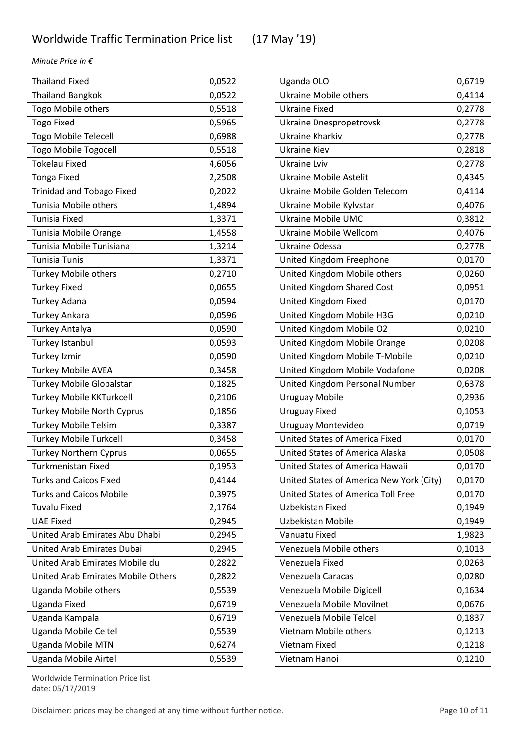| <b>Thailand Fixed</b>              | 0,0522 |
|------------------------------------|--------|
| <b>Thailand Bangkok</b>            | 0,0522 |
| Togo Mobile others                 | 0,5518 |
| <b>Togo Fixed</b>                  | 0,5965 |
| <b>Togo Mobile Telecell</b>        | 0,6988 |
| <b>Togo Mobile Togocell</b>        | 0,5518 |
| <b>Tokelau Fixed</b>               | 4,6056 |
| <b>Tonga Fixed</b>                 | 2,2508 |
| <b>Trinidad and Tobago Fixed</b>   | 0,2022 |
| Tunisia Mobile others              | 1,4894 |
| <b>Tunisia Fixed</b>               | 1,3371 |
| Tunisia Mobile Orange              | 1,4558 |
| Tunisia Mobile Tunisiana           | 1,3214 |
| <b>Tunisia Tunis</b>               | 1,3371 |
| <b>Turkey Mobile others</b>        | 0,2710 |
| <b>Turkey Fixed</b>                | 0,0655 |
| <b>Turkey Adana</b>                | 0,0594 |
| <b>Turkey Ankara</b>               | 0,0596 |
| Turkey Antalya                     | 0,0590 |
| Turkey Istanbul                    | 0,0593 |
| <b>Turkey Izmir</b>                | 0,0590 |
| <b>Turkey Mobile AVEA</b>          | 0,3458 |
| <b>Turkey Mobile Globalstar</b>    | 0,1825 |
| <b>Turkey Mobile KKTurkcell</b>    | 0,2106 |
| <b>Turkey Mobile North Cyprus</b>  | 0,1856 |
| <b>Turkey Mobile Telsim</b>        | 0,3387 |
| <b>Turkey Mobile Turkcell</b>      | 0,3458 |
| <b>Turkey Northern Cyprus</b>      | 0,0655 |
| Turkmenistan Fixed                 | 0,1953 |
| <b>Turks and Caicos Fixed</b>      | 0,4144 |
| <b>Turks and Caicos Mobile</b>     | 0,3975 |
| <b>Tuvalu Fixed</b>                | 2,1764 |
| <b>UAE Fixed</b>                   | 0,2945 |
| United Arab Emirates Abu Dhabi     | 0,2945 |
| <b>United Arab Emirates Dubai</b>  | 0,2945 |
| United Arab Emirates Mobile du     | 0,2822 |
| United Arab Emirates Mobile Others | 0,2822 |
| Uganda Mobile others               | 0,5539 |
| <b>Uganda Fixed</b>                | 0,6719 |
| Uganda Kampala                     | 0,6719 |
| Uganda Mobile Celtel               | 0,5539 |
| <b>Uganda Mobile MTN</b>           | 0,6274 |
| Uganda Mobile Airtel               | 0,5539 |

| Uganda OLO                               | 0,6719 |
|------------------------------------------|--------|
| <b>Ukraine Mobile others</b>             | 0,4114 |
| <b>Ukraine Fixed</b>                     | 0,2778 |
| <b>Ukraine Dnespropetrovsk</b>           | 0,2778 |
| Ukraine Kharkiv                          | 0,2778 |
| <b>Ukraine Kiev</b>                      | 0,2818 |
| Ukraine Lviv                             | 0,2778 |
| <b>Ukraine Mobile Astelit</b>            | 0,4345 |
| Ukraine Mobile Golden Telecom            | 0,4114 |
| Ukraine Mobile Kylvstar                  | 0,4076 |
| <b>Ukraine Mobile UMC</b>                | 0,3812 |
| <b>Ukraine Mobile Wellcom</b>            | 0,4076 |
| Ukraine Odessa                           | 0,2778 |
| United Kingdom Freephone                 | 0,0170 |
| United Kingdom Mobile others             | 0,0260 |
| United Kingdom Shared Cost               | 0,0951 |
| United Kingdom Fixed                     | 0,0170 |
| United Kingdom Mobile H3G                | 0,0210 |
| United Kingdom Mobile O2                 | 0,0210 |
| United Kingdom Mobile Orange             | 0,0208 |
| United Kingdom Mobile T-Mobile           | 0,0210 |
| United Kingdom Mobile Vodafone           | 0,0208 |
| United Kingdom Personal Number           | 0,6378 |
| <b>Uruguay Mobile</b>                    | 0,2936 |
| <b>Uruguay Fixed</b>                     | 0,1053 |
| Uruguay Montevideo                       | 0,0719 |
| <b>United States of America Fixed</b>    | 0,0170 |
| United States of America Alaska          | 0,0508 |
| United States of America Hawaii          | 0,0170 |
| United States of America New York (City) | 0,0170 |
| United States of America Toll Free       | 0,0170 |
| Uzbekistan Fixed                         | 0,1949 |
| Uzbekistan Mobile                        | 0,1949 |
| Vanuatu Fixed                            | 1,9823 |
| Venezuela Mobile others                  | 0,1013 |
| Venezuela Fixed                          | 0,0263 |
| Venezuela Caracas                        | 0,0280 |
| Venezuela Mobile Digicell                | 0,1634 |
| Venezuela Mobile Movilnet                | 0,0676 |
| Venezuela Mobile Telcel                  | 0,1837 |
| Vietnam Mobile others                    | 0,1213 |
| Vietnam Fixed                            | 0,1218 |
| Vietnam Hanoi                            | 0,1210 |

Worldwide Termination Price list date: 05/17/2019

Disclaimer: prices may be changed at any time without further notice. Page 10 of 11